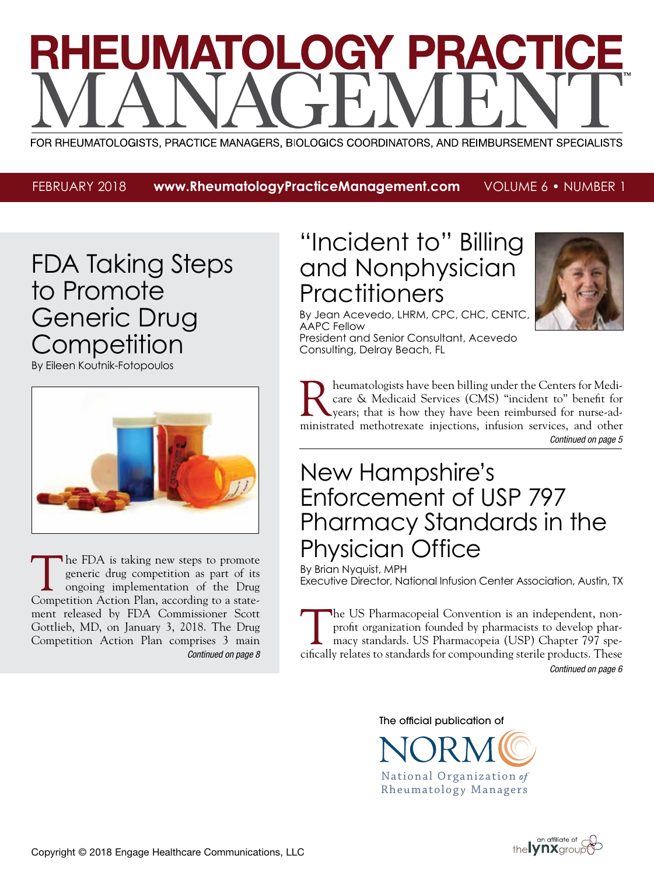# EUMATOLOGY PRACT

FOR RHEUMATOLOGISTS, PRACTICE MANAGERS, BIOLOGICS COORDINATORS, AND REIMBURSEMENT SPECIALISTS

FEBRUARY 2018 **www.RheumatologyPracticeManagement.com** VOLUME 6 • NUMBER 1

# FDA Taking Steps to Promote Generic Drug **Competition**

By Eileen Koutnik-Fotopoulos



*Continued on page 8* The FDA is taking new steps to promote generic drug competition as part of its ongoing implementation of the Drug Competition Action Plan, according to a statement released by FDA Commissioner Scott Gottlieb, MD, on January 3, 2018. The Drug Competition Action Plan comprises 3 main

# "Incident to" Billing and Nonphysician **Practitioners**



By Jean Acevedo, LHRM, CPC, CHC, CENTC, AAPC Fellow President and Senior Consultant, Acevedo Consulting, Delray Beach, FL

*Continued on page 5* Rheumatologists have been billing under the Centers for Medicare & Medicaid Services (CMS) "incident to" benefit for years; that is how they have been reimbursed for nurse-adcare & Medicaid Services (CMS) "incident to" benefit for years; that is how they have been reimbursed for nurse-administrated methotrexate injections, infusion services, and other

# New Hampshire's Enforcement of USP 797 Pharmacy Standards in the Physician Office

By Brian Nyquist, MPH Executive Director, National Infusion Center Association, Austin, TX

*Continued on page 6* The US Pharmacopeial Convention is an independent, nonprofit organization founded by pharmacists to develop pharmacy standards. US Pharmacopeia (USP) Chapter 797 specifically relates to standards for compounding sterile products. These

The official publication of



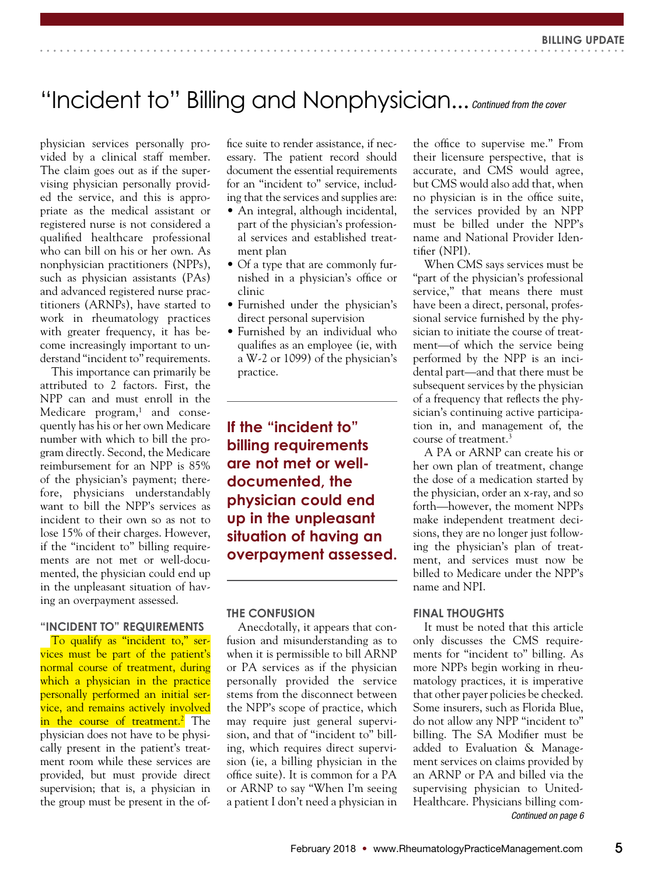# "Incident to" Billing and Nonphysician... *Continued from the cover*

physician services personally provided by a clinical staff member. The claim goes out as if the supervising physician personally provided the service, and this is appropriate as the medical assistant or registered nurse is not considered a qualified healthcare professional who can bill on his or her own. As nonphysician practitioners (NPPs), such as physician assistants (PAs) and advanced registered nurse practitioners (ARNPs), have started to work in rheumatology practices with greater frequency, it has become increasingly important to understand "incident to" requirements.

This importance can primarily be attributed to 2 factors. First, the NPP can and must enroll in the Medicare program,<sup>1</sup> and consequently has his or her own Medicare number with which to bill the program directly. Second, the Medicare reimbursement for an NPP is 85% of the physician's payment; therefore, physicians understandably want to bill the NPP's services as incident to their own so as not to lose 15% of their charges. However, if the "incident to" billing requirements are not met or well-documented, the physician could end up in the unpleasant situation of having an overpayment assessed.

## **"INCIDENT TO" REQUIREMENTS**

To qualify as "incident to," services must be part of the patient's normal course of treatment, during which a physician in the practice personally performed an initial service, and remains actively involved in the course of treatment.<sup>2</sup> The physician does not have to be physically present in the patient's treatment room while these services are provided, but must provide direct supervision; that is, a physician in the group must be present in the office suite to render assistance, if necessary. The patient record should document the essential requirements for an "incident to" service, including that the services and supplies are:

- An integral, although incidental, part of the physician's professional services and established treatment plan
- Of a type that are commonly furnished in a physician's office or clinic
- Furnished under the physician's direct personal supervision
- Furnished by an individual who qualifies as an employee (ie, with a W-2 or 1099) of the physician's practice.

**If the "incident to" billing requirements are not met or welldocumented, the physician could end up in the unpleasant situation of having an overpayment assessed.**

### **THE CONFUSION**

Anecdotally, it appears that confusion and misunderstanding as to when it is permissible to bill ARNP or PA services as if the physician personally provided the service stems from the disconnect between the NPP's scope of practice, which may require just general supervision, and that of "incident to" billing, which requires direct supervision (ie, a billing physician in the office suite). It is common for a PA or ARNP to say "When I'm seeing a patient I don't need a physician in

the office to supervise me." From their licensure perspective, that is accurate, and CMS would agree, but CMS would also add that, when no physician is in the office suite, the services provided by an NPP must be billed under the NPP's name and National Provider Identifier (NPI).

When CMS says services must be "part of the physician's professional service," that means there must have been a direct, personal, professional service furnished by the physician to initiate the course of treatment—of which the service being performed by the NPP is an incidental part—and that there must be subsequent services by the physician of a frequency that reflects the physician's continuing active participation in, and management of, the course of treatment.3

A PA or ARNP can create his or her own plan of treatment, change the dose of a medication started by the physician, order an x-ray, and so forth—however, the moment NPPs make independent treatment decisions, they are no longer just following the physician's plan of treatment, and services must now be billed to Medicare under the NPP's name and NPI.

### **FINAL THOUGHTS**

It must be noted that this article only discusses the CMS requirements for "incident to" billing. As more NPPs begin working in rheumatology practices, it is imperative that other payer policies be checked. Some insurers, such as Florida Blue, do not allow any NPP "incident to" billing. The SA Modifier must be added to Evaluation & Management services on claims provided by an ARNP or PA and billed via the supervising physician to United-Healthcare. Physicians billing com-*Continued on page 6*